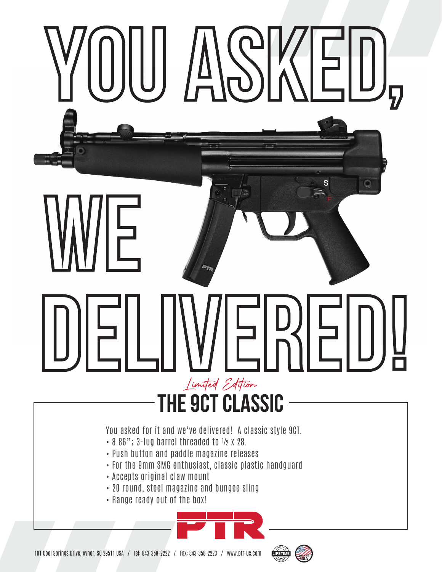## S Ę Limited Editi**the 9ct classic** You asked for it and we've delivered! A classic style 9CT. • 8.86"; 3-lug barrel threaded to ½ x 28. • Push button and paddle magazine releases • For the 9mm SMG enthusiast, classic plastic handguard

- Accepts original claw mount
- 20 round, steel magazine and bungee sling
- Range ready out of the box!